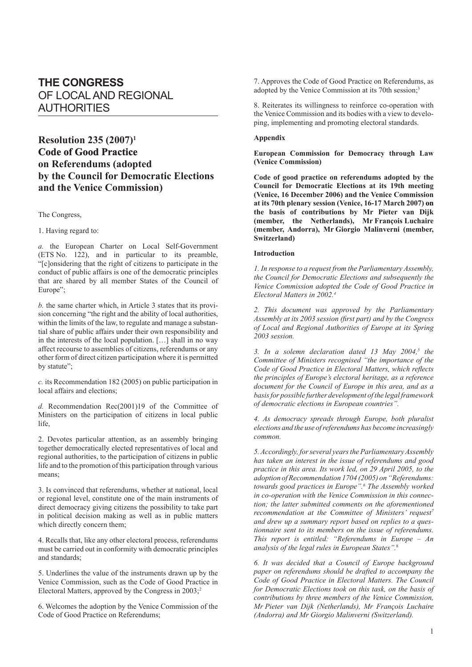# **THE CONGRESS** OF LOCAL AND REGIONAL AUTHORITIES

# **Resolution 235 (2007)1 Code of Good Practice on Referendums (adopted by the Council for Democratic Elections and the Venice Commission)**

The Congress,

### 1. Having regard to:

*a.* the European Charter on Local Self-Government (ETS No. 122), and in particular to its preamble, "[c]onsidering that the right of citizens to participate in the conduct of public affairs is one of the democratic principles that are shared by all member States of the Council of Europe";

*b.* the same charter which, in Article 3 states that its provision concerning "the right and the ability of local authorities, within the limits of the law, to regulate and manage a substantial share of public affairs under their own responsibility and in the interests of the local population. […] shall in no way affect recourse to assemblies of citizens, referendums or any other form of direct citizen participation where it is permitted by statute";

*c.* its Recommendation 182 (2005) on public participation in local affairs and elections;

*d.* Recommendation Rec(2001)19 of the Committee of Ministers on the participation of citizens in local public life,

2. Devotes particular attention, as an assembly bringing together democratically elected representatives of local and regional authorities, to the participation of citizens in public life and to the promotion of this participation through various means;

3. Is convinced that referendums, whether at national, local or regional level, constitute one of the main instruments of direct democracy giving citizens the possibility to take part in political decision making as well as in public matters which directly concern them;

4. Recalls that, like any other electoral process, referendums must be carried out in conformity with democratic principles and standards;

5. Underlines the value of the instruments drawn up by the Venice Commission, such as the Code of Good Practice in Electoral Matters, approved by the Congress in  $2003$ ;<sup>2</sup>

6. Welcomes the adoption by the Venice Commission of the Code of Good Practice on Referendums;

7. Approves the Code of Good Practice on Referendums, as adopted by the Venice Commission at its 70th session;<sup>3</sup>

8. Reiterates its willingness to reinforce co-operation with the Venice Commission and its bodies with a view to developing, implementing and promoting electoral standards.

## **Appendix**

**European Commission for Democracy through Law (Venice Commission)**

**Code of good practice on referendums adopted by the Council for Democratic Elections at its 19th meeting (Venice, 16 December 2006) and the Venice Commission at its 70th plenary session (Venice, 16-17 March 2007) on the basis of contributions by Mr Pieter van Dijk (member, the Netherlands), Mr François Luchaire (member, Andorra), Mr Giorgio Malinverni (member, Switzerland)**

#### **Introduction**

*1. In response to a request from the Parliamentary Assembly, the Council for Democratic Elections and subsequently the Venice Commission adopted the Code of Good Practice in Electoral Matters in 2002.4*

*2. This document was approved by the Parliamentary Assembly at its 2003 session (first part) and by the Congress of Local and Regional Authorities of Europe at its Spring 2003 session.*

3. In a solemn declaration dated 13 May 2004,<sup>5</sup> the *Committee of Ministers recognised "the importance of the Code of Good Practice in Electoral Matters, which reflects the principles of Europe's electoral heritage, as a reference document for the Council of Europe in this area, and as a basis for possible further development of the legal framework of democratic elections in European countries".*

*4. As democracy spreads through Europe, both pluralist elections and the use of referendums has become increasingly common.*

*5. Accordingly, for several years the Parliamentary Assembly has taken an interest in the issue of referendums and good practice in this area. Its work led, on 29 April 2005, to the adoption of Recommendation 1704 (2005) on "Referendums: towards good practices in Europe".<sup>6</sup> The Assembly worked in co-operation with the Venice Commission in this connection; the latter submitted comments on the aforementioned recommendation at the Committee of Ministers' request<sup>7</sup> and drew up a summary report based on replies to a questionnaire sent to its members on the issue of referendums. This report is entitled: "Referendums in Europe – An analysis of the legal rules in European States".*<sup>8</sup>

*6. It was decided that a Council of Europe background paper on referendums should be drafted to accompany the Code of Good Practice in Electoral Matters. The Council for Democratic Elections took on this task, on the basis of contributions by three members of the Venice Commission, Mr Pieter van Dijk (Netherlands), Mr François Luchaire (Andorra) and Mr Giorgio Malinverni (Switzerland).*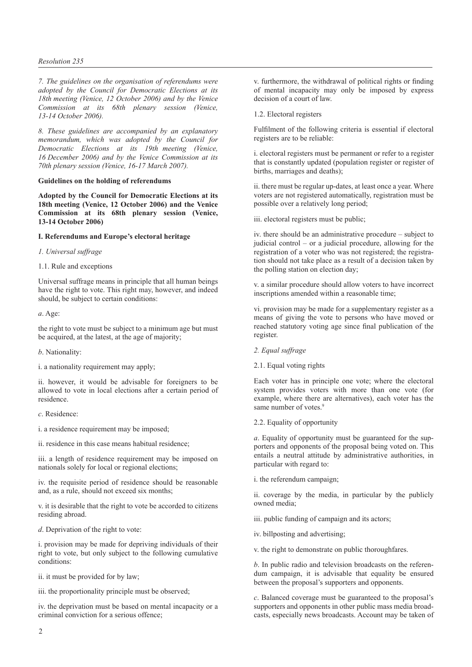### *Resolution 235*

*7. The guidelines on the organisation of referendums were adopted by the Council for Democratic Elections at its 18th meeting (Venice, 12 October 2006) and by the Venice Commission at its 68th plenary session (Venice, 13-14 October 2006).*

*8. These guidelines are accompanied by an explanatory memorandum, which was adopted by the Council for Democratic Elections at its 19th meeting (Venice, 16 December 2006) and by the Venice Commission at its 70th plenary session (Venice, 16-17 March 2007).*

## **Guidelines on the holding of referendums**

**Adopted by the Council for Democratic Elections at its 18th meeting (Venice, 12 October 2006) and the Venice Commission at its 68th plenary session (Venice, 13-14 October 2006)**

## **I. Referendums and Europe's electoral heritage**

## *1. Universal suffrage*

1.1. Rule and exceptions

Universal suffrage means in principle that all human beings have the right to vote. This right may, however, and indeed should, be subject to certain conditions:

*a*. Age:

the right to vote must be subject to a minimum age but must be acquired, at the latest, at the age of majority;

*b*. Nationality:

i. a nationality requirement may apply;

ii. however, it would be advisable for foreigners to be allowed to vote in local elections after a certain period of residence.

*c*. Residence:

i. a residence requirement may be imposed;

ii. residence in this case means habitual residence;

iii. a length of residence requirement may be imposed on nationals solely for local or regional elections;

iv. the requisite period of residence should be reasonable and, as a rule, should not exceed six months;

v. it is desirable that the right to vote be accorded to citizens residing abroad.

*d*. Deprivation of the right to vote:

i. provision may be made for depriving individuals of their right to vote, but only subject to the following cumulative conditions:

ii. it must be provided for by law;

iii. the proportionality principle must be observed;

iv. the deprivation must be based on mental incapacity or a criminal conviction for a serious offence;

v. furthermore, the withdrawal of political rights or finding of mental incapacity may only be imposed by express decision of a court of law.

1.2. Electoral registers

Fulfilment of the following criteria is essential if electoral registers are to be reliable:

i. electoral registers must be permanent or refer to a register that is constantly updated (population register or register of births, marriages and deaths);

ii. there must be regular up-dates, at least once a year. Where voters are not registered automatically, registration must be possible over a relatively long period;

iii. electoral registers must be public;

iv. there should be an administrative procedure – subject to judicial control – or a judicial procedure, allowing for the registration of a voter who was not registered; the registration should not take place as a result of a decision taken by the polling station on election day;

v. a similar procedure should allow voters to have incorrect inscriptions amended within a reasonable time;

vi. provision may be made for a supplementary register as a means of giving the vote to persons who have moved or reached statutory voting age since final publication of the register.

- *2. Equal suffrage*
- 2.1. Equal voting rights

Each voter has in principle one vote; where the electoral system provides voters with more than one vote (for example, where there are alternatives), each voter has the same number of votes.<sup>9</sup>

2.2. Equality of opportunity

*a*. Equality of opportunity must be guaranteed for the supporters and opponents of the proposal being voted on. This entails a neutral attitude by administrative authorities, in particular with regard to:

i. the referendum campaign;

ii. coverage by the media, in particular by the publicly owned media;

iii. public funding of campaign and its actors;

iv. billposting and advertising;

v. the right to demonstrate on public thoroughfares.

*b*. In public radio and television broadcasts on the referendum campaign, it is advisable that equality be ensured between the proposal's supporters and opponents.

*c*. Balanced coverage must be guaranteed to the proposal's supporters and opponents in other public mass media broadcasts, especially news broadcasts. Account may be taken of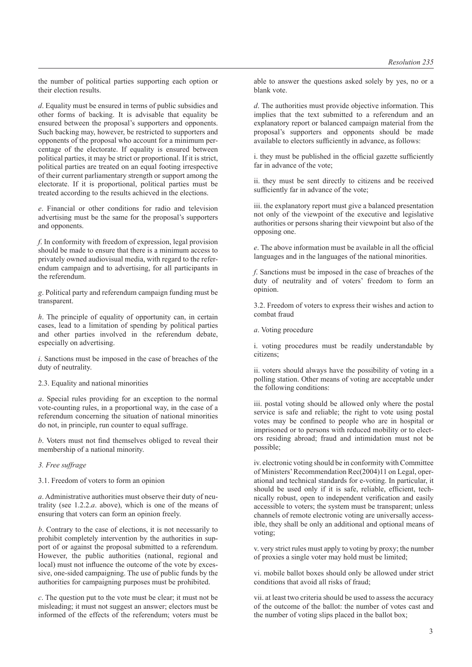the number of political parties supporting each option or their election results.

*d*. Equality must be ensured in terms of public subsidies and other forms of backing. It is advisable that equality be ensured between the proposal's supporters and opponents. Such backing may, however, be restricted to supporters and opponents of the proposal who account for a minimum percentage of the electorate. If equality is ensured between political parties, it may be strict or proportional. If it is strict, political parties are treated on an equal footing irrespective of their current parliamentary strength or support among the electorate. If it is proportional, political parties must be treated according to the results achieved in the elections.

*e*. Financial or other conditions for radio and television advertising must be the same for the proposal's supporters and opponents.

*f*. In conformity with freedom of expression, legal provision should be made to ensure that there is a minimum access to privately owned audiovisual media, with regard to the referendum campaign and to advertising, for all participants in the referendum.

*g*. Political party and referendum campaign funding must be transparent.

*h*. The principle of equality of opportunity can, in certain cases, lead to a limitation of spending by political parties and other parties involved in the referendum debate, especially on advertising.

*i*. Sanctions must be imposed in the case of breaches of the duty of neutrality.

2.3. Equality and national minorities

*a*. Special rules providing for an exception to the normal vote-counting rules, in a proportional way, in the case of a referendum concerning the situation of national minorities do not, in principle, run counter to equal suffrage.

*b*. Voters must not find themselves obliged to reveal their membership of a national minority.

*3. Free suffrage*

3.1. Freedom of voters to form an opinion

*a*. Administrative authorities must observe their duty of neutrality (see 1.2.2.*a*. above), which is one of the means of ensuring that voters can form an opinion freely.

*b*. Contrary to the case of elections, it is not necessarily to prohibit completely intervention by the authorities in support of or against the proposal submitted to a referendum. However, the public authorities (national, regional and local) must not influence the outcome of the vote by excessive, one-sided campaigning. The use of public funds by the authorities for campaigning purposes must be prohibited.

*c*. The question put to the vote must be clear; it must not be misleading; it must not suggest an answer; electors must be informed of the effects of the referendum; voters must be able to answer the questions asked solely by yes, no or a blank vote.

*d*. The authorities must provide objective information. This implies that the text submitted to a referendum and an explanatory report or balanced campaign material from the proposal's supporters and opponents should be made available to electors sufficiently in advance, as follows:

i. they must be published in the official gazette sufficiently far in advance of the vote;

ii. they must be sent directly to citizens and be received sufficiently far in advance of the vote;

iii. the explanatory report must give a balanced presentation not only of the viewpoint of the executive and legislative authorities or persons sharing their viewpoint but also of the opposing one.

*e*. The above information must be available in all the official languages and in the languages of the national minorities.

*f*. Sanctions must be imposed in the case of breaches of the duty of neutrality and of voters' freedom to form an opinion.

3.2. Freedom of voters to express their wishes and action to combat fraud

*a*. Voting procedure

i. voting procedures must be readily understandable by citizens;

ii. voters should always have the possibility of voting in a polling station. Other means of voting are acceptable under the following conditions:

iii. postal voting should be allowed only where the postal service is safe and reliable; the right to vote using postal votes may be confined to people who are in hospital or imprisoned or to persons with reduced mobility or to electors residing abroad; fraud and intimidation must not be possible;

iv. electronic voting should be in conformity with Committee of Ministers' Recommendation Rec(2004)11 on Legal, operational and technical standards for e-voting. In particular, it should be used only if it is safe, reliable, efficient, technically robust, open to independent verification and easily accessible to voters; the system must be transparent; unless channels of remote electronic voting are universally accessible, they shall be only an additional and optional means of voting;

v. very strict rules must apply to voting by proxy; the number of proxies a single voter may hold must be limited;

vi. mobile ballot boxes should only be allowed under strict conditions that avoid all risks of fraud;

vii. at least two criteria should be used to assess the accuracy of the outcome of the ballot: the number of votes cast and the number of voting slips placed in the ballot box;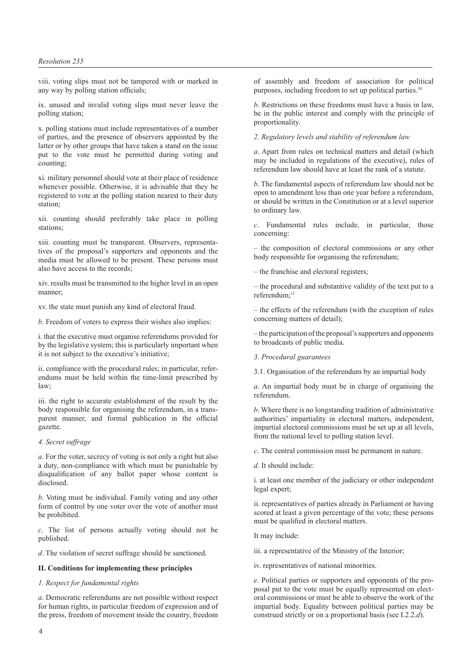### *Resolution 235*

viii. voting slips must not be tampered with or marked in any way by polling station officials;

ix. unused and invalid voting slips must never leave the polling station;

x. polling stations must include representatives of a number of parties, and the presence of observers appointed by the latter or by other groups that have taken a stand on the issue put to the vote must be permitted during voting and counting;

xi. military personnel should vote at their place of residence whenever possible. Otherwise, it is advisable that they be registered to vote at the polling station nearest to their duty station;

xii. counting should preferably take place in polling stations:

xiii. counting must be transparent. Observers, representatives of the proposal's supporters and opponents and the media must be allowed to be present. These persons must also have access to the records;

xiv. results must be transmitted to the higher level in an open manner;

xv. the state must punish any kind of electoral fraud.

*b*. Freedom of voters to express their wishes also implies:

i. that the executive must organise referendums provided for by the legislative system; this is particularly important when it is not subject to the executive's initiative;

ii. compliance with the procedural rules; in particular, referendums must be held within the time-limit prescribed by law;

iii. the right to accurate establishment of the result by the body responsible for organising the referendum, in a transparent manner, and formal publication in the official gazette.

## *4. Secret suffrage*

*a*. For the voter, secrecy of voting is not only a right but also a duty, non-compliance with which must be punishable by disqualification of any ballot paper whose content is disclosed.

*b*. Voting must be individual. Family voting and any other form of control by one voter over the vote of another must be prohibited.

*c*. The list of persons actually voting should not be published.

*d*. The violation of secret suffrage should be sanctioned.

### **II. Conditions for implementing these principles**

### *1. Respect for fundamental rights*

*a*. Democratic referendums are not possible without respect for human rights, in particular freedom of expression and of the press, freedom of movement inside the country, freedom

of assembly and freedom of association for political purposes, including freedom to set up political parties.<sup>10</sup>

*b*. Restrictions on these freedoms must have a basis in law, be in the public interest and comply with the principle of proportionality.

*2. Regulatory levels and stability of referendum law*

*a*. Apart from rules on technical matters and detail (which may be included in regulations of the executive), rules of referendum law should have at least the rank of a statute.

*b*. The fundamental aspects of referendum law should not be open to amendment less than one year before a referendum, or should be written in the Constitution or at a level superior to ordinary law.

*c*. Fundamental rules include, in particular, those concerning:

– the composition of electoral commissions or any other body responsible for organising the referendum;

– the franchise and electoral registers;

– the procedural and substantive validity of the text put to a referendum:<sup>11</sup>

– the effects of the referendum (with the exception of rules concerning matters of detail);

– the participation of the proposal's supporters and opponents to broadcasts of public media.

*3. Procedural guarantees*

3.1. Organisation of the referendum by an impartial body

*a*. An impartial body must be in charge of organising the referendum.

*b*. Where there is no longstanding tradition of administrative authorities' impartiality in electoral matters, independent, impartial electoral commissions must be set up at all levels, from the national level to polling station level.

*c*. The central commission must be permanent in nature.

*d*. It should include:

i. at least one member of the judiciary or other independent legal expert;

ii. representatives of parties already in Parliament or having scored at least a given percentage of the vote; these persons must be qualified in electoral matters.

It may include:

iii. a representative of the Ministry of the Interior;

iv. representatives of national minorities.

*e*. Political parties or supporters and opponents of the proposal put to the vote must be equally represented on electoral commissions or must be able to observe the work of the impartial body. Equality between political parties may be construed strictly or on a proportional basis (see I.2.2.*d*).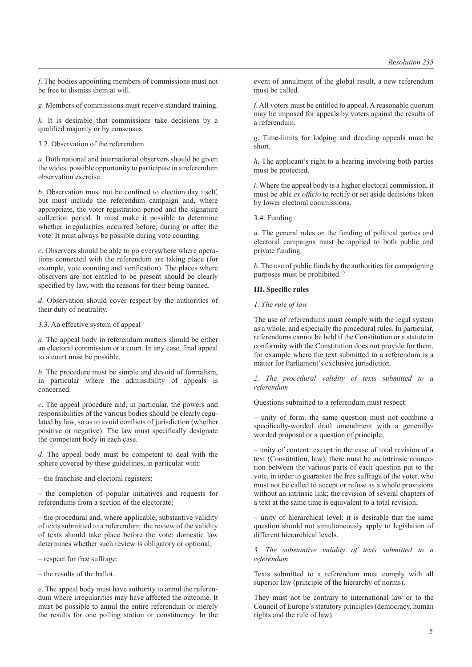*f*. The bodies appointing members of commissions must not be free to dismiss them at will.

*g*. Members of commissions must receive standard training.

*h*. It is desirable that commissions take decisions by a qualified majority or by consensus.

3.2. Observation of the referendum

*a*. Both national and international observers should be given the widest possible opportunity to participate in a referendum observation exercise.

*b*. Observation must not be confined to election day itself, but must include the referendum campaign and, where appropriate, the voter registration period and the signature collection period. It must make it possible to determine whether irregularities occurred before, during or after the vote. It must always be possible during vote counting.

*c*. Observers should be able to go everywhere where operations connected with the referendum are taking place (for example, vote counting and verification). The places where observers are not entitled to be present should be clearly specified by law, with the reasons for their being banned.

*d*. Observation should cover respect by the authorities of their duty of neutrality.

3.3. An effective system of appeal

*a*. The appeal body in referendum matters should be either an electoral commission or a court. In any case, final appeal to a court must be possible.

*b*. The procedure must be simple and devoid of formalism, in particular where the admissibility of appeals is concerned.

*c*. The appeal procedure and, in particular, the powers and responsibilities of the various bodies should be clearly regulated by law, so as to avoid conflicts of jurisdiction (whether positive or negative). The law must specifically designate the competent body in each case.

*d*. The appeal body must be competent to deal with the sphere covered by these guidelines, in particular with:

– the franchise and electoral registers;

– the completion of popular initiatives and requests for referendums from a section of the electorate;

– the procedural and, where applicable, substantive validity of texts submitted to a referendum: the review of the validity of texts should take place before the vote; domestic law determines whether such review is obligatory or optional;

– respect for free suffrage:

– the results of the ballot.

*e*. The appeal body must have authority to annul the referendum where irregularities may have affected the outcome. It must be possible to annul the entire referendum or merely the results for one polling station or constituency. In the event of annulment of the global result, a new referendum must be called.

*f*. All voters must be entitled to appeal. A reasonable quorum may be imposed for appeals by voters against the results of a referendum.

*g*. Time-limits for lodging and deciding appeals must be short.

*h*. The applicant's right to a hearing involving both parties must be protected.

*i*. Where the appeal body is a higher electoral commission, it must be able *ex officio* to rectify or set aside decisions taken by lower electoral commissions.

3.4. Funding

*a*. The general rules on the funding of political parties and electoral campaigns must be applied to both public and private funding.

*b*. The use of public funds by the authorities for campaigning purposes must be prohibited.<sup>12</sup>

## **III. Specific rules**

*1. The rule of law*

The use of referendums must comply with the legal system as a whole, and especially the procedural rules. In particular, referendums cannot be held if the Constitution or a statute in conformity with the Constitution does not provide for them, for example where the text submitted to a referendum is a matter for Parliament's exclusive jurisdiction.

*2. The procedural validity of texts submitted to a referendum*

Questions submitted to a referendum must respect:

– unity of form: the same question must not combine a specifically-worded draft amendment with a generallyworded proposal or a question of principle;

– unity of content: except in the case of total revision of a text (Constitution, law), there must be an intrinsic connection between the various parts of each question put to the vote, in order to guarantee the free suffrage of the voter, who must not be called to accept or refuse as a whole provisions without an intrinsic link; the revision of several chapters of a text at the same time is equivalent to a total revision;

– unity of hierarchical level: it is desirable that the same question should not simultaneously apply to legislation of different hierarchical levels.

*3. The substantive validity of texts submitted to a referendum*

Texts submitted to a referendum must comply with all superior law (principle of the hierarchy of norms).

They must not be contrary to international law or to the Council of Europe's statutory principles (democracy, human rights and the rule of law).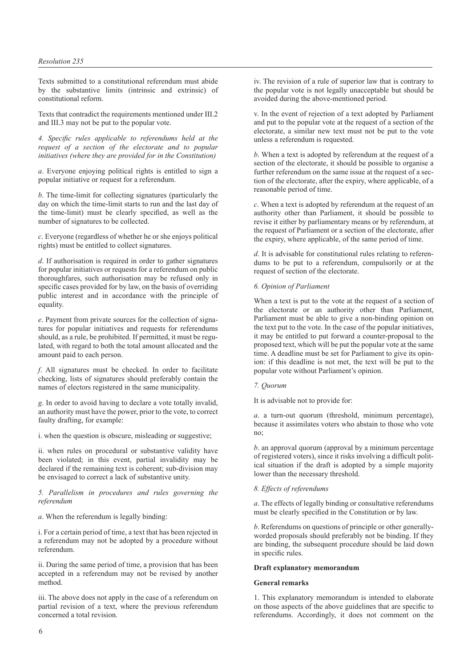Texts submitted to a constitutional referendum must abide by the substantive limits (intrinsic and extrinsic) of constitutional reform.

Texts that contradict the requirements mentioned under III.2 and III.3 may not be put to the popular vote.

*4. Specific rules applicable to referendums held at the request of a section of the electorate and to popular initiatives (where they are provided for in the Constitution)*

*a*. Everyone enjoying political rights is entitled to sign a popular initiative or request for a referendum.

*b*. The time-limit for collecting signatures (particularly the day on which the time-limit starts to run and the last day of the time-limit) must be clearly specified, as well as the number of signatures to be collected.

*c*. Everyone (regardless of whether he or she enjoys political rights) must be entitled to collect signatures.

*d*. If authorisation is required in order to gather signatures for popular initiatives or requests for a referendum on public thoroughfares, such authorisation may be refused only in specific cases provided for by law, on the basis of overriding public interest and in accordance with the principle of equality.

*e*. Payment from private sources for the collection of signatures for popular initiatives and requests for referendums should, as a rule, be prohibited. If permitted, it must be regulated, with regard to both the total amount allocated and the amount paid to each person.

*f*. All signatures must be checked. In order to facilitate checking, lists of signatures should preferably contain the names of electors registered in the same municipality.

*g*. In order to avoid having to declare a vote totally invalid, an authority must have the power, prior to the vote, to correct faulty drafting, for example:

i. when the question is obscure, misleading or suggestive;

ii. when rules on procedural or substantive validity have been violated; in this event, partial invalidity may be declared if the remaining text is coherent; sub-division may be envisaged to correct a lack of substantive unity.

*5. Parallelism in procedures and rules governing the referendum*

*a*. When the referendum is legally binding:

i. For a certain period of time, a text that has been rejected in a referendum may not be adopted by a procedure without referendum.

ii. During the same period of time, a provision that has been accepted in a referendum may not be revised by another method.

iii. The above does not apply in the case of a referendum on partial revision of a text, where the previous referendum concerned a total revision.

iv. The revision of a rule of superior law that is contrary to the popular vote is not legally unacceptable but should be avoided during the above-mentioned period.

v. In the event of rejection of a text adopted by Parliament and put to the popular vote at the request of a section of the electorate, a similar new text must not be put to the vote unless a referendum is requested.

*b*. When a text is adopted by referendum at the request of a section of the electorate, it should be possible to organise a further referendum on the same issue at the request of a section of the electorate, after the expiry, where applicable, of a reasonable period of time.

*c*. When a text is adopted by referendum at the request of an authority other than Parliament, it should be possible to revise it either by parliamentary means or by referendum, at the request of Parliament or a section of the electorate, after the expiry, where applicable, of the same period of time.

*d*. It is advisable for constitutional rules relating to referendums to be put to a referendum, compulsorily or at the request of section of the electorate.

## *6. Opinion of Parliament*

When a text is put to the vote at the request of a section of the electorate or an authority other than Parliament, Parliament must be able to give a non-binding opinion on the text put to the vote. In the case of the popular initiatives, it may be entitled to put forward a counter-proposal to the proposed text, which will be put the popular vote at the same time. A deadline must be set for Parliament to give its opinion: if this deadline is not met, the text will be put to the popular vote without Parliament's opinion.

### *7. Quorum*

It is advisable not to provide for:

*a*. a turn-out quorum (threshold, minimum percentage), because it assimilates voters who abstain to those who vote no;

*b*. an approval quorum (approval by a minimum percentage of registered voters), since it risks involving a difficult political situation if the draft is adopted by a simple majority lower than the necessary threshold.

#### *8. Effects of referendums*

*a*. The effects of legally binding or consultative referendums must be clearly specified in the Constitution or by law.

*b*. Referendums on questions of principle or other generallyworded proposals should preferably not be binding. If they are binding, the subsequent procedure should be laid down in specific rules.

## **Draft explanatory memorandum**

#### **General remarks**

1. This explanatory memorandum is intended to elaborate on those aspects of the above guidelines that are specific to referendums. Accordingly, it does not comment on the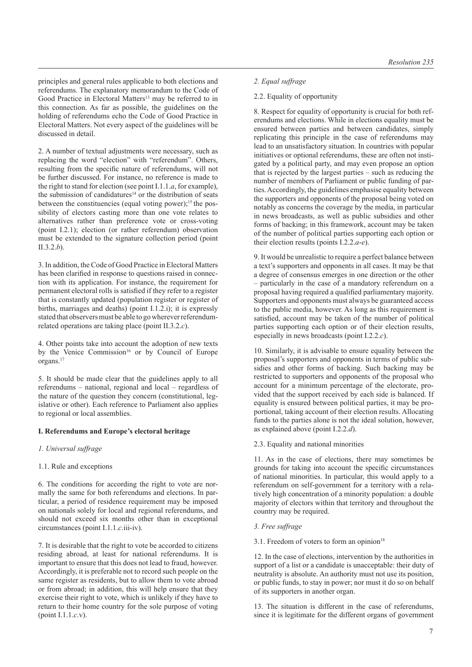principles and general rules applicable to both elections and referendums. The explanatory memorandum to the Code of Good Practice in Electoral Matters<sup>13</sup> may be referred to in this connection. As far as possible, the guidelines on the holding of referendums echo the Code of Good Practice in Electoral Matters. Not every aspect of the guidelines will be discussed in detail.

2. A number of textual adjustments were necessary, such as replacing the word "election" with "referendum". Others, resulting from the specific nature of referendums, will not be further discussed. For instance, no reference is made to the right to stand for election (see point I.1.1.*a*, for example), the submission of candidatures<sup>14</sup> or the distribution of seats between the constituencies (equal voting power);<sup>15</sup> the possibility of electors casting more than one vote relates to alternatives rather than preference vote or cross-voting (point I.2.1); election (or rather referendum) observation must be extended to the signature collection period (point II.3.2.*b*).

3. In addition, the Code of Good Practice in Electoral Matters has been clarified in response to questions raised in connection with its application. For instance, the requirement for permanent electoral rolls is satisfied if they refer to a register that is constantly updated (population register or register of births, marriages and deaths) (point I.1.2.i); it is expressly stated that observers must be able to go whereverreferendumrelated operations are taking place (point II.3.2.*c*).

4. Other points take into account the adoption of new texts by the Venice Commission<sup>16</sup> or by Council of Europe organs.17

5. It should be made clear that the guidelines apply to all referendums – national, regional and local – regardless of the nature of the question they concern (constitutional, legislative or other). Each reference to Parliament also applies to regional or local assemblies.

# **I. Referendums and Europe's electoral heritage**

# *1. Universal suffrage*

# 1.1. Rule and exceptions

6. The conditions for according the right to vote are normally the same for both referendums and elections. In particular, a period of residence requirement may be imposed on nationals solely for local and regional referendums, and should not exceed six months other than in exceptional circumstances (point I.1.1.*c*.iii-iv).

7. It is desirable that the right to vote be accorded to citizens residing abroad, at least for national referendums. It is important to ensure that this does not lead to fraud, however. Accordingly, it is preferable not to record such people on the same register as residents, but to allow them to vote abroad or from abroad; in addition, this will help ensure that they exercise their right to vote, which is unlikely if they have to return to their home country for the sole purpose of voting (point I.1.1.*c*.v).

# *2. Equal suffrage*

# 2.2. Equality of opportunity

8. Respect for equality of opportunity is crucial for both referendums and elections. While in elections equality must be ensured between parties and between candidates, simply replicating this principle in the case of referendums may lead to an unsatisfactory situation. In countries with popular initiatives or optional referendums, these are often not instigated by a political party, and may even propose an option that is rejected by the largest parties – such as reducing the number of members of Parliament or public funding of parties. Accordingly, the guidelines emphasise equality between the supporters and opponents of the proposal being voted on notably as concerns the coverage by the media, in particular in news broadcasts, as well as public subsidies and other forms of backing; in this framework, account may be taken of the number of political parties supporting each option or their election results (points I.2.2.*a*-*e*).

9. It would be unrealistic to require a perfect balance between a text's supporters and opponents in all cases. It may be that a degree of consensus emerges in one direction or the other – particularly in the case of a mandatory referendum on a proposal having required a qualified parliamentary majority. Supporters and opponents must always be guaranteed access to the public media, however. As long as this requirement is satisfied, account may be taken of the number of political parties supporting each option or of their election results, especially in news broadcasts (point I.2.2.*c*).

10. Similarly, it is advisable to ensure equality between the proposal's supporters and opponents in terms of public subsidies and other forms of backing. Such backing may be restricted to supporters and opponents of the proposal who account for a minimum percentage of the electorate, provided that the support received by each side is balanced. If equality is ensured between political parties, it may be proportional, taking account of their election results. Allocating funds to the parties alone is not the ideal solution, however, as explained above (point I.2.2.*d*).

# 2.3. Equality and national minorities

11. As in the case of elections, there may sometimes be grounds for taking into account the specific circumstances of national minorities. In particular, this would apply to a referendum on self-government for a territory with a relatively high concentration of a minority population: a double majority of electors within that territory and throughout the country may be required.

# *3. Free suffrage*

# 3.1. Freedom of voters to form an opinion $18$

12. In the case of elections, intervention by the authorities in support of a list or a candidate is unacceptable: their duty of neutrality is absolute. An authority must not use its position, or public funds, to stay in power; nor must it do so on behalf of its supporters in another organ.

13. The situation is different in the case of referendums, since it is legitimate for the different organs of government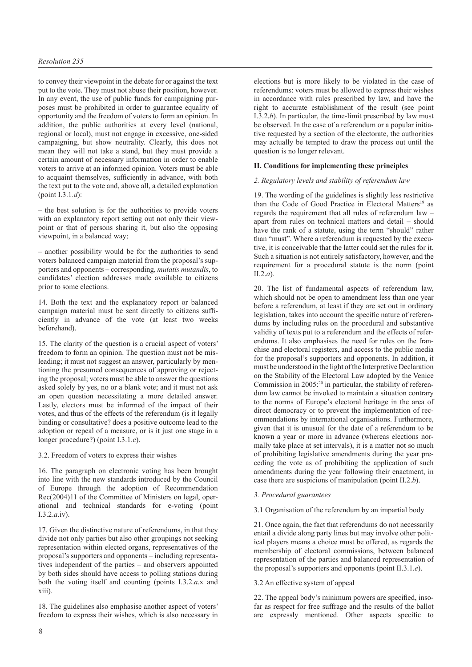to convey their viewpoint in the debate for or against the text put to the vote. They must not abuse their position, however. In any event, the use of public funds for campaigning purposes must be prohibited in order to guarantee equality of opportunity and the freedom of voters to form an opinion. In addition, the public authorities at every level (national, regional or local), must not engage in excessive, one-sided campaigning, but show neutrality. Clearly, this does not mean they will not take a stand, but they must provide a certain amount of necessary information in order to enable voters to arrive at an informed opinion. Voters must be able to acquaint themselves, sufficiently in advance, with both the text put to the vote and, above all, a detailed explanation (point I.3.1.*d*):

– the best solution is for the authorities to provide voters with an explanatory report setting out not only their viewpoint or that of persons sharing it, but also the opposing viewpoint, in a balanced way;

– another possibility would be for the authorities to send voters balanced campaign material from the proposal's supporters and opponents – corresponding, *mutatis mutandis*, to candidates' election addresses made available to citizens prior to some elections.

14. Both the text and the explanatory report or balanced campaign material must be sent directly to citizens sufficiently in advance of the vote (at least two weeks beforehand).

15. The clarity of the question is a crucial aspect of voters' freedom to form an opinion. The question must not be misleading; it must not suggest an answer, particularly by mentioning the presumed consequences of approving or rejecting the proposal; voters must be able to answer the questions asked solely by yes, no or a blank vote; and it must not ask an open question necessitating a more detailed answer. Lastly, electors must be informed of the impact of their votes, and thus of the effects of the referendum (is it legally binding or consultative? does a positive outcome lead to the adoption or repeal of a measure, or is it just one stage in a longer procedure?) (point I.3.1.*c*).

3.2. Freedom of voters to express their wishes

16. The paragraph on electronic voting has been brought into line with the new standards introduced by the Council of Europe through the adoption of Recommendation Rec(2004)11 of the Committee of Ministers on legal, operational and technical standards for e-voting (point I.3.2.*a*.iv).

17. Given the distinctive nature of referendums, in that they divide not only parties but also other groupings not seeking representation within elected organs, representatives of the proposal's supporters and opponents – including representatives independent of the parties – and observers appointed by both sides should have access to polling stations during both the voting itself and counting (points I.3.2.*a*.x and xiii).

18. The guidelines also emphasise another aspect of voters' freedom to express their wishes, which is also necessary in elections but is more likely to be violated in the case of referendums: voters must be allowed to express their wishes in accordance with rules prescribed by law, and have the right to accurate establishment of the result (see point I.3.2.*b*). In particular, the time-limit prescribed by law must be observed. In the case of a referendum or a popular initiative requested by a section of the electorate, the authorities may actually be tempted to draw the process out until the question is no longer relevant.

## **II. Conditions for implementing these principles**

# *2. Regulatory levels and stability of referendum law*

19. The wording of the guidelines is slightly less restrictive than the Code of Good Practice in Electoral Matters<sup>19</sup> as regards the requirement that all rules of referendum law – apart from rules on technical matters and detail – should have the rank of a statute, using the term "should" rather than "must". Where a referendum is requested by the executive, it is conceivable that the latter could set the rules for it. Such a situation is not entirely satisfactory, however, and the requirement for a procedural statute is the norm (point II.2.*a*).

20. The list of fundamental aspects of referendum law, which should not be open to amendment less than one year before a referendum, at least if they are set out in ordinary legislation, takes into account the specific nature of referendums by including rules on the procedural and substantive validity of texts put to a referendum and the effects of referendums. It also emphasises the need for rules on the franchise and electoral registers, and access to the public media for the proposal's supporters and opponents. In addition, it must be understood in the light of the Interpretive Declaration on the Stability of the Electoral Law adopted by the Venice Commission in 2005:<sup>20</sup> in particular, the stability of referendum law cannot be invoked to maintain a situation contrary to the norms of Europe's electoral heritage in the area of direct democracy or to prevent the implementation of recommendations by international organisations. Furthermore, given that it is unusual for the date of a referendum to be known a year or more in advance (whereas elections normally take place at set intervals), it is a matter not so much of prohibiting legislative amendments during the year preceding the vote as of prohibiting the application of such amendments during the year following their enactment, in case there are suspicions of manipulation (point II.2.*b*).

### *3. Procedural guarantees*

3.1 Organisation of the referendum by an impartial body

21. Once again, the fact that referendums do not necessarily entail a divide along party lines but may involve other political players means a choice must be offered, as regards the membership of electoral commissions, between balanced representation of the parties and balanced representation of the proposal's supporters and opponents (point II.3.1.*e*).

### 3.2 An effective system of appeal

22. The appeal body's minimum powers are specified, insofar as respect for free suffrage and the results of the ballot are expressly mentioned. Other aspects specific to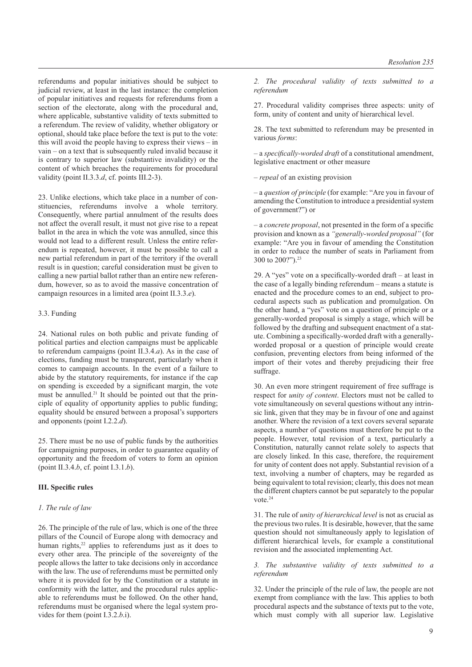referendums and popular initiatives should be subject to judicial review, at least in the last instance: the completion of popular initiatives and requests for referendums from a section of the electorate, along with the procedural and, where applicable, substantive validity of texts submitted to a referendum. The review of validity, whether obligatory or optional, should take place before the text is put to the vote: this will avoid the people having to express their views – in vain – on a text that is subsequently ruled invalid because it is contrary to superior law (substantive invalidity) or the content of which breaches the requirements for procedural validity (point II.3.3.*d*, cf. points III.2-3).

23. Unlike elections, which take place in a number of constituencies, referendums involve a whole territory. Consequently, where partial annulment of the results does not affect the overall result, it must not give rise to a repeat ballot in the area in which the vote was annulled, since this would not lead to a different result. Unless the entire referendum is repeated, however, it must be possible to call a new partial referendum in part of the territory if the overall result is in question; careful consideration must be given to calling a new partial ballot rather than an entire new referendum, however, so as to avoid the massive concentration of campaign resources in a limited area (point II.3.3.*e*).

## 3.3. Funding

24. National rules on both public and private funding of political parties and election campaigns must be applicable to referendum campaigns (point II.3.4.*a*). As in the case of elections, funding must be transparent, particularly when it comes to campaign accounts. In the event of a failure to abide by the statutory requirements, for instance if the cap on spending is exceeded by a significant margin, the vote must be annulled.<sup>21</sup> It should be pointed out that the principle of equality of opportunity applies to public funding; equality should be ensured between a proposal's supporters and opponents (point I.2.2.*d*).

25. There must be no use of public funds by the authorities for campaigning purposes, in order to guarantee equality of opportunity and the freedom of voters to form an opinion (point II.3.4.*b*, cf. point I.3.1.*b*).

### **III. Specific rules**

## *1. The rule of law*

26. The principle of the rule of law, which is one of the three pillars of the Council of Europe along with democracy and human rights,<sup>22</sup> applies to referendums just as it does to every other area. The principle of the sovereignty of the people allows the latter to take decisions only in accordance with the law. The use of referendums must be permitted only where it is provided for by the Constitution or a statute in conformity with the latter, and the procedural rules applicable to referendums must be followed. On the other hand, referendums must be organised where the legal system provides for them (point I.3.2.*b*.i).

*2. The procedural validity of texts submitted to a referendum*

27. Procedural validity comprises three aspects: unity of form, unity of content and unity of hierarchical level.

28. The text submitted to referendum may be presented in various *forms*:

– a *specifically-worded draft* of a constitutional amendment, legislative enactment or other measure

– *repeal* of an existing provision

– a *question of principle* (for example: "Are you in favour of amending the Constitution to introduce a presidential system of government?") or

– a *concrete proposal*, not presented in the form of a specific provision and known as a *"generally-worded proposal"* (for example: "Are you in favour of amending the Constitution in order to reduce the number of seats in Parliament from 300 to 200?").23

29. A "yes" vote on a specifically-worded draft – at least in the case of a legally binding referendum – means a statute is enacted and the procedure comes to an end, subject to procedural aspects such as publication and promulgation. On the other hand, a "yes" vote on a question of principle or a generally-worded proposal is simply a stage, which will be followed by the drafting and subsequent enactment of a statute. Combining a specifically-worded draft with a generallyworded proposal or a question of principle would create confusion, preventing electors from being informed of the import of their votes and thereby prejudicing their free suffrage.

30. An even more stringent requirement of free suffrage is respect for *unity of content*. Electors must not be called to vote simultaneously on several questions without any intrinsic link, given that they may be in favour of one and against another. Where the revision of a text covers several separate aspects, a number of questions must therefore be put to the people. However, total revision of a text, particularly a Constitution, naturally cannot relate solely to aspects that are closely linked. In this case, therefore, the requirement for unity of content does not apply. Substantial revision of a text, involving a number of chapters, may be regarded as being equivalent to total revision; clearly, this does not mean the different chapters cannot be put separately to the popular vote <sup>24</sup>

31. The rule of *unity of hierarchical level* is not as crucial as the previous two rules. It is desirable, however, that the same question should not simultaneously apply to legislation of different hierarchical levels, for example a constitutional revision and the associated implementing Act.

*3. The substantive validity of texts submitted to a referendum*

32. Under the principle of the rule of law, the people are not exempt from compliance with the law. This applies to both procedural aspects and the substance of texts put to the vote, which must comply with all superior law. Legislative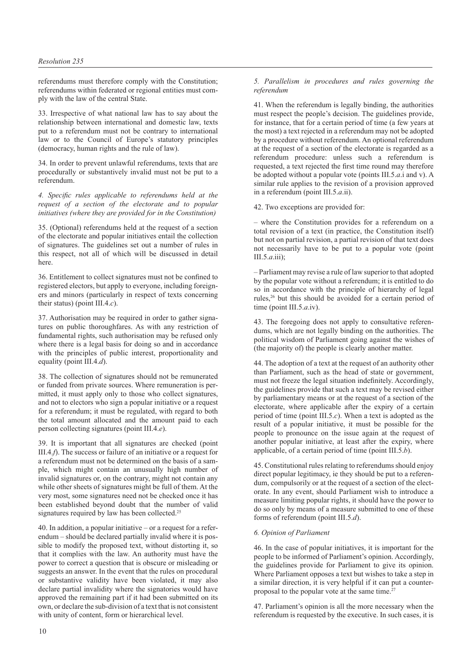referendums must therefore comply with the Constitution; referendums within federated or regional entities must comply with the law of the central State.

33. Irrespective of what national law has to say about the relationship between international and domestic law, texts put to a referendum must not be contrary to international law or to the Council of Europe's statutory principles (democracy, human rights and the rule of law).

34. In order to prevent unlawful referendums, texts that are procedurally or substantively invalid must not be put to a referendum.

*4. Specific rules applicable to referendums held at the request of a section of the electorate and to popular initiatives (where they are provided for in the Constitution)*

35. (Optional) referendums held at the request of a section of the electorate and popular initiatives entail the collection of signatures. The guidelines set out a number of rules in this respect, not all of which will be discussed in detail here.

36. Entitlement to collect signatures must not be confined to registered electors, but apply to everyone, including foreigners and minors (particularly in respect of texts concerning their status) (point III.4.*c*).

37. Authorisation may be required in order to gather signatures on public thoroughfares. As with any restriction of fundamental rights, such authorisation may be refused only where there is a legal basis for doing so and in accordance with the principles of public interest, proportionality and equality (point III.4.*d*).

38. The collection of signatures should not be remunerated or funded from private sources. Where remuneration is permitted, it must apply only to those who collect signatures, and not to electors who sign a popular initiative or a request for a referendum; it must be regulated, with regard to both the total amount allocated and the amount paid to each person collecting signatures (point III.4.*e*).

39. It is important that all signatures are checked (point III.4.*f*). The success or failure of an initiative or a request for a referendum must not be determined on the basis of a sample, which might contain an unusually high number of invalid signatures or, on the contrary, might not contain any while other sheets of signatures might be full of them. At the very most, some signatures need not be checked once it has been established beyond doubt that the number of valid signatures required by law has been collected.<sup>25</sup>

40. In addition, a popular initiative – or a request for a referendum – should be declared partially invalid where it is possible to modify the proposed text, without distorting it, so that it complies with the law. An authority must have the power to correct a question that is obscure or misleading or suggests an answer. In the event that the rules on procedural or substantive validity have been violated, it may also declare partial invalidity where the signatories would have approved the remaining part if it had been submitted on its own, or declare the sub-division of a text that is not consistent with unity of content, form or hierarchical level.

## *5. Parallelism in procedures and rules governing the referendum*

41. When the referendum is legally binding, the authorities must respect the people's decision. The guidelines provide, for instance, that for a certain period of time (a few years at the most) a text rejected in a referendum may not be adopted by a procedure without referendum. An optional referendum at the request of a section of the electorate is regarded as a referendum procedure: unless such a referendum is requested, a text rejected the first time round may therefore be adopted without a popular vote (points III.5.*a*.i and v). A similar rule applies to the revision of a provision approved in a referendum (point III.5.*a*.ii).

42. Two exceptions are provided for:

– where the Constitution provides for a referendum on a total revision of a text (in practice, the Constitution itself) but not on partial revision, a partial revision of that text does not necessarily have to be put to a popular vote (point III.5.*a*.iii);

– Parliament may revise a rule of law superior to that adopted by the popular vote without a referendum; it is entitled to do so in accordance with the principle of hierarchy of legal rules,26 but this should be avoided for a certain period of time (point III.5.*a*.iv).

43. The foregoing does not apply to consultative referendums, which are not legally binding on the authorities. The political wisdom of Parliament going against the wishes of (the majority of) the people is clearly another matter.

44. The adoption of a text at the request of an authority other than Parliament, such as the head of state or government, must not freeze the legal situation indefinitely. Accordingly, the guidelines provide that such a text may be revised either by parliamentary means or at the request of a section of the electorate, where applicable after the expiry of a certain period of time (point III.5.*c*). When a text is adopted as the result of a popular initiative, it must be possible for the people to pronounce on the issue again at the request of another popular initiative, at least after the expiry, where applicable, of a certain period of time (point III.5.*b*).

45. Constitutional rules relating to referendums should enjoy direct popular legitimacy, ie they should be put to a referendum, compulsorily or at the request of a section of the electorate. In any event, should Parliament wish to introduce a measure limiting popular rights, it should have the power to do so only by means of a measure submitted to one of these forms of referendum (point III.5.*d*).

# *6. Opinion of Parliament*

46. In the case of popular initiatives, it is important for the people to be informed of Parliament's opinion. Accordingly, the guidelines provide for Parliament to give its opinion. Where Parliament opposes a text but wishes to take a step in a similar direction, it is very helpful if it can put a counterproposal to the popular vote at the same time. $27$ 

47. Parliament's opinion is all the more necessary when the referendum is requested by the executive. In such cases, it is